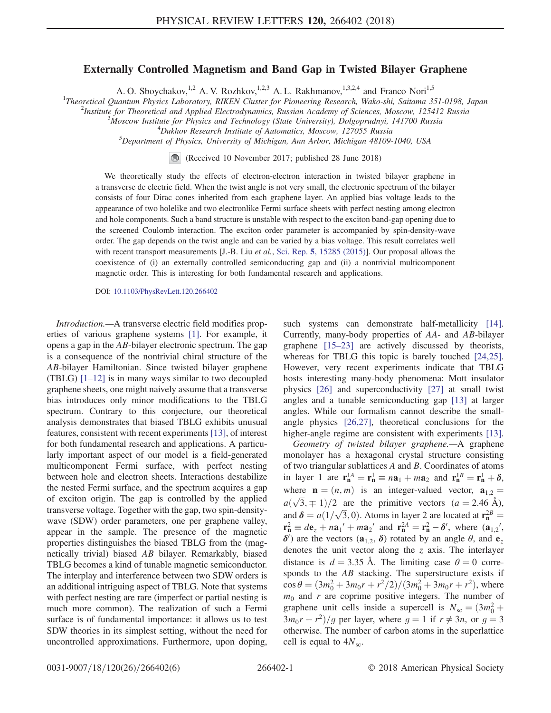## Externally Controlled Magnetism and Band Gap in Twisted Bilayer Graphene

A. O. Sboychakov,<sup>1,2</sup> A. V. Rozhkov,<sup>1,2,3</sup> A. L. Rakhmanov,<sup>1,3,2,4</sup> and Franco Nori<sup>1,5</sup>

<sup>1</sup>Theoretical Quantum Physics Laboratory, RIKEN Cluster for Pioneering Research, Wako-shi, Saitama 351-0198, Japan <sup>2</sup>Institute for Theoretical and Applied Fleetredynamics, Pussing Aesdamy of Saimees, Moscow, 125412 Pussi

<sup>2</sup>Institute for Theoretical and Applied Electrodynamics, Russian Academy of Sciences, Moscow, 125412 Russia

<sup>5</sup>Moscow Institute for Physics and Technology (State University), Dolgoprudnyi, 141700 Russia

 $^4$ Dukhov Research Institute of Automatics, Moscow, 127055 Russia

Department of Physics, University of Michigan, Ann Arbor, Michigan 48109-1040, USA

 $\bigcirc$ (Received 10 November 2017; published 28 June 2018)

We theoretically study the effects of electron-electron interaction in twisted bilayer graphene in a transverse dc electric field. When the twist angle is not very small, the electronic spectrum of the bilayer consists of four Dirac cones inherited from each graphene layer. An applied bias voltage leads to the appearance of two holelike and two electronlike Fermi surface sheets with perfect nesting among electron and hole components. Such a band structure is unstable with respect to the exciton band-gap opening due to the screened Coulomb interaction. The exciton order parameter is accompanied by spin-density-wave order. The gap depends on the twist angle and can be varied by a bias voltage. This result correlates well with recent transport measurements [J.-B. Liu et al., Sci. Rep. 5[, 15285 \(2015\)\]](https://doi.org/10.1038/srep15285). Our proposal allows the coexistence of (i) an externally controlled semiconducting gap and (ii) a nontrivial multicomponent magnetic order. This is interesting for both fundamental research and applications.

DOI: [10.1103/PhysRevLett.120.266402](https://doi.org/10.1103/PhysRevLett.120.266402)

Introduction.—A transverse electric field modifies properties of various graphene systems [\[1\].](#page-4-0) For example, it opens a gap in the AB-bilayer electronic spectrum. The gap is a consequence of the nontrivial chiral structure of the AB-bilayer Hamiltonian. Since twisted bilayer graphene (TBLG) [1–[12\]](#page-4-0) is in many ways similar to two decoupled graphene sheets, one might naively assume that a transverse bias introduces only minor modifications to the TBLG spectrum. Contrary to this conjecture, our theoretical analysis demonstrates that biased TBLG exhibits unusual features, consistent with recent experiments [\[13\]](#page-4-1), of interest for both fundamental research and applications. A particularly important aspect of our model is a field-generated multicomponent Fermi surface, with perfect nesting between hole and electron sheets. Interactions destabilize the nested Fermi surface, and the spectrum acquires a gap of exciton origin. The gap is controlled by the applied transverse voltage. Together with the gap, two spin-densitywave (SDW) order parameters, one per graphene valley, appear in the sample. The presence of the magnetic properties distinguishes the biased TBLG from the (magnetically trivial) biased AB bilayer. Remarkably, biased TBLG becomes a kind of tunable magnetic semiconductor. The interplay and interference between two SDW orders is an additional intriguing aspect of TBLG. Note that systems with perfect nesting are rare (imperfect or partial nesting is much more common). The realization of such a Fermi surface is of fundamental importance: it allows us to test SDW theories in its simplest setting, without the need for uncontrolled approximations. Furthermore, upon doping, such systems can demonstrate half-metallicity [\[14\]](#page-4-2). Currently, many-body properties of AA- and AB-bilayer graphene [15–[23\]](#page-4-3) are actively discussed by theorists, whereas for TBLG this topic is barely touched [\[24,25\]](#page-5-0). However, very recent experiments indicate that TBLG hosts interesting many-body phenomena: Mott insulator physics [\[26\]](#page-5-1) and superconductivity [\[27\]](#page-5-2) at small twist angles and a tunable semiconducting gap [\[13\]](#page-4-1) at larger angles. While our formalism cannot describe the smallangle physics [\[26,27\],](#page-5-1) theoretical conclusions for the higher-angle regime are consistent with experiments [\[13\]](#page-4-1).

Geometry of twisted bilayer graphene.—A graphene monolayer has a hexagonal crystal structure consisting of two triangular sublattices A and B. Coordinates of atoms in layer 1 are  $\mathbf{r}_n^{1A} = \mathbf{r}_n^1 \equiv n\mathbf{a}_1 + m\mathbf{a}_2$  and  $\mathbf{r}_n^{1B} = \mathbf{r}_n^1 + \delta$ , where  $\mathbf{n} = (n, m)$  is an integer-valued vector,  $\mathbf{a}_{1,2} =$  $a(\sqrt{3}, \pm 1)/2$  are the primitive vectors  $(a = 2.46 \text{ Å})$ , and  $\delta = a(1/\sqrt{3}, 0)$ . Atoms in layer 2 are located at  $\mathbf{r}_{\text{n}}^{2B}$ <br> $\mathbf{r}_{\text{n}}^{2} = d\mathbf{e} + \mathbf{r}\mathbf{a}^{2}/+\mathbf{m}\mathbf{a}^{2}/2$  and  $\mathbf{r}_{\text{n}}^{2A} - \mathbf{r}^{2} - \delta^{2}$ , where  $\delta \mathbf{a}$ and  $\vec{v} = a(1/\sqrt{3}, 0)$ . Atoms in layer 2 are located at  $\vec{r}_n = \vec{r}_n^2 \equiv d\vec{e}_z + n\vec{a}_1' + m\vec{a}_2'$  and  $\vec{r}_n^A = \vec{r}_n^2 - \delta'$ , where  $(\vec{a}_{1,2}', \delta)$  re the vectors  $(\vec{a}_{1,2}, \delta)$  rotated by an angle  $\theta$  and  $\vec{e}_i$ δ') are the vectors ( $\mathbf{a}_{1,2}$ , δ) rotated by an angle  $\theta$ , and  $\mathbf{e}_z$ denotes the unit vector along the  $z$  axis. The interlayer distance is  $d = 3.35$  Å. The limiting case  $\theta = 0$  corresponds to the AB stacking. The superstructure exists if  $cos \theta = (3m_0^2 + 3m_0r + r^2/2)/(3m_0^2 + 3m_0r + r^2)$ , where  $m_0$  and r are coprime positive integers. The number of graphene unit cells inside a supercell is  $N_{\rm sc} = (3m_0^2 +$ graphene unit cens inside a supercent is  $N_{sc} = (3m_0 + 3m_0r + r^2)/g$  per layer, where  $g = 1$  if  $r \neq 3n$ , or  $g = 3$  otherwise. The number of carbon atoms in the superlattice otherwise. The number of carbon atoms in the superlattice cell is equal to  $4N<sub>sc</sub>$ .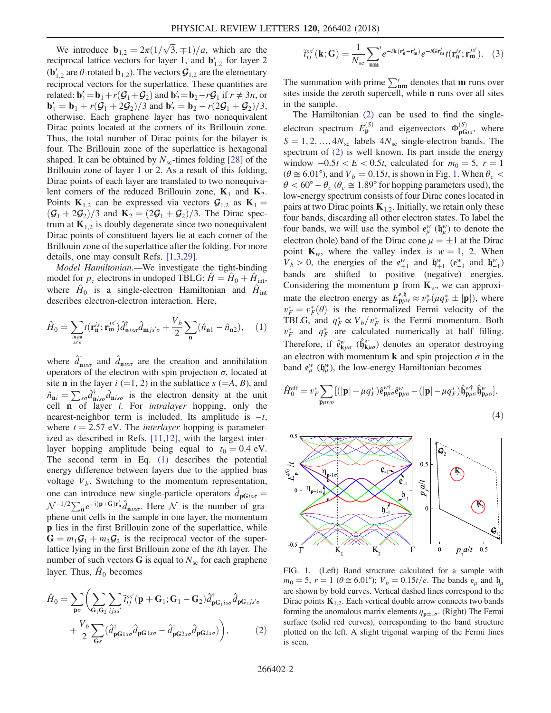We introduce  $\mathbf{b}_{1,2} = 2\pi (1/\sqrt{3}, \mp 1)/a$ , which are the general lattice vectors for layer 1, and  $\mathbf{b}'_k$ , for layer 2 reciprocal lattice vectors for layer 1, and  $\mathbf{b}'_{1,2}$  for layer 2  $(\mathbf{b}'_{1,2})$  are  $\theta$ -rotated  $\mathbf{b}_{1,2}$ ). The vectors  $\mathcal{G}_{1,2}$  are the elementary reciprocal vectors for the superlattice. These quantities are related:  $\mathbf{b}'_1 = \mathbf{b}_1 + r(\mathcal{G}_1 + \mathcal{G}_2)$  and  $\mathbf{b}'_2 = \mathbf{b}_2 - r\mathcal{G}_1$  if  $r \neq 3n$ , or  $\mathbf{b}'_2 = \mathbf{b}_1 + r(\mathcal{G}_1 + 2\mathcal{G}_2)/3$  and  $\mathbf{b}'_2 = \mathbf{b}_2 - r(2\mathcal{G}_1 + \mathcal{G}_2)/3$  **and**  $**b**'<sub>2</sub> = **b**<sub>2</sub> - r(2**G**<sub>1</sub> + **G**<sub>2</sub>)/3$ **,<br>otherwise Each graphene layer has two nonequivalent** otherwise. Each graphene layer has two nonequivalent Dirac points located at the corners of its Brillouin zone. Thus, the total number of Dirac points for the bilayer is four. The Brillouin zone of the superlattice is hexagonal shaped. It can be obtained by  $N_{\rm sc}$ -times folding [\[28\]](#page-5-3) of the Brillouin zone of layer 1 or 2. As a result of this folding, Dirac points of each layer are translated to two nonequivalent corners of the reduced Brillouin zone,  $K_1$  and  $K_2$ . Points  $K_{1,2}$  can be expressed via vectors  $\mathcal{G}_{1,2}$  as  $K_1 =$  $(\mathcal{G}_1 + 2\mathcal{G}_2)/3$  and  $\mathbf{K}_2 = (2\mathcal{G}_1 + \mathcal{G}_2)/3$ . The Dirac spectrum at  $K_{1,2}$  is doubly degenerate since two nonequivalent Dirac points of constituent layers lie at each corner of the Brillouin zone of the superlattice after the folding. For more details, one may consult Refs. [\[1,3,29\].](#page-4-0)

Model Hamiltonian.—We investigate the tight-binding model for  $p_z$  electrons in undoped TBLG:  $\dot{H} = \dot{H}_0 + \dot{H}_{int}$ , where  $\hat{H}_0$  is a single-electron Hamiltonian and  $\hat{H}_{int}$ describes electron-electron interaction. Here,

<span id="page-1-0"></span>
$$
\hat{H}_0 = \sum_{\substack{\text{in } j\text{m} \\ \text{ss}'\sigma}} t(\mathbf{r}_\mathbf{n}^{\text{is}}; \mathbf{r}_\mathbf{m}^{\text{is}'} ) \hat{d}_{\mathbf{n}\text{is}\sigma}^\dagger \hat{d}_{\mathbf{m}\text{js}'\sigma} + \frac{V_b}{2} \sum_{\mathbf{n}} (\hat{n}_{\mathbf{n}1} - \hat{n}_{\mathbf{n}2}), \quad (1)
$$

where  $\hat{d}^{\dagger}_{\mathbf{n} i s\sigma}$  and  $\hat{d}_{\mathbf{n} i s\sigma}$  are the creation and annihilation operators of the electron with spin projection  $\sigma$ , located at site **n** in the layer  $i (=1, 2)$  in the sublattice  $s (=A, B)$ , and  $\hat{n}_{ni} = \sum_{s\sigma} \hat{d}_{nis\sigma}^{\dagger} \hat{d}_{nis\sigma}$  is the electron density at the unit cell  $\bf{n}$  of layer *i*. For *intralayer* hopping, only the nearest-neighbor term is included. Its amplitude is  $-t$ , where  $t = 2.57$  eV. The *interlayer* hopping is parameterized as described in Refs. [\[11,12\],](#page-4-4) with the largest interlayer hopping amplitude being equal to  $t_0 = 0.4$  eV. The second term in Eq. [\(1\)](#page-1-0) describes the potential energy difference between layers due to the applied bias voltage  $V_b$ . Switching to the momentum representation, one can introduce new single-particle operators  $d_{\mathbf{p}Gis\sigma}$ one can introduce hew single-particle operators  $a_{\mathbf{pG}is\sigma} = \mathcal{N}^{-1/2} \sum_{\mathbf{n}} e^{-i(\mathbf{p}+\mathbf{G})\mathbf{r}_{\mathbf{n}}^i} \hat{d}_{\mathbf{n}is\sigma}$ . Here  $\mathcal{N}$  is the number of graphene unit cells in the sample in one layer, the momentum p lies in the first Brillouin zone of the superlattice, while  $G = m_1 \mathcal{G}_1 + m_2 \mathcal{G}_2$  is the reciprocal vector of the superlattice lying in the first Brillouin zone of the ith layer. The number of such vectors  $G$  is equal to  $N<sub>sc</sub>$  for each graphene layer. Thus,  $\hat{H}_0$  becomes

<span id="page-1-1"></span>
$$
\hat{H}_0 = \sum_{\mathbf{p}\sigma} \left( \sum_{\mathbf{G}_1 \mathbf{G}_2} \sum_{ijss'} \tilde{t}_{ij}^{ss'} (\mathbf{p} + \mathbf{G}_1; \mathbf{G}_1 - \mathbf{G}_2) \hat{d}_{\mathbf{p}\mathbf{G}_1 is\sigma}^{\dagger} \hat{d}_{\mathbf{p}\mathbf{G}_2 js'\sigma} + \frac{V_b}{2} \sum_{\mathbf{G}_s} (\hat{d}_{\mathbf{p}\mathbf{G}_1 s\sigma}^{\dagger} \hat{d}_{\mathbf{p}\mathbf{G}_1 s\sigma} - \hat{d}_{\mathbf{p}\mathbf{G}_2 s\sigma}^{\dagger} \hat{d}_{\mathbf{p}\mathbf{G}_2 s\sigma}) \right),
$$
\n(2)

$$
\tilde{t}_{ij}^{ss'}(\mathbf{k};\mathbf{G}) = \frac{1}{N_{sc}} \sum_{\mathbf{nm}}' e^{-i\mathbf{k}(\mathbf{r}_{\mathbf{n}}^i - \mathbf{r}_{\mathbf{m}}^j)} e^{-i\mathbf{G}\mathbf{r}_{\mathbf{m}}^j} t(\mathbf{r}_{\mathbf{n}}^{is}; \mathbf{r}_{\mathbf{m}}^{js'}).
$$
 (3)

The summation with prime  $\sum_{nm}^{\prime}$  denotes that **m** runs over sites inside the zeroth supercell, while n runs over all sites in the sample.

The Hamiltonian [\(2\)](#page-1-1) can be used to find the singleelectron spectrum  $E_{\mathbf{p}}^{(S)}$  and eigenvectors  $\Phi_{\mathbf{p}Gis}^{(S)}$ , where  $S = 1, 2, ..., 4N_{sc}$  labels  $4N_{sc}$  single-electron bands. The spectrum of [\(2\)](#page-1-1) is well known. Its part inside the energy window  $-0.5t < E < 0.5t$ , calculated for  $m_0 = 5$ ,  $r = 1$  $(\theta \cong 6.01^{\circ})$  $(\theta \cong 6.01^{\circ})$  $(\theta \cong 6.01^{\circ})$ , and  $V_b = 0.15t$ , is shown in Fig. 1. When  $\theta_c$  <  $\theta < 60^{\circ} - \theta_c$  ( $\theta_c \approx 1.89^{\circ}$  for hopping parameters used), the low-energy spectrum consists of four Dirac cones located in pairs at two Dirac points  $K_{1,2}$ . Initially, we retain only these four bands, discarding all other electron states. To label the four bands, we will use the symbol  $e_{\mu}^{w}$  ( $\mathfrak{h}_{\mu}^{w}$ ) to denote the electron (hole) band of the Dirac cone  $\mu = \pm 1$  at the Dirac point **K** where the valley index is  $w = 1, 2$  When point  $\mathbf{K}_w$ , where the valley index is  $w = 1, 2$ . When  $V_b > 0$ , the energies of the  $e_{+1}^{\psi}$  and  $\mathfrak{h}_{+1}^{\psi}$  ( $e_{-1}^{\psi}$  and  $\mathfrak{h}_{-1}^{\psi}$ )<br>bands are shifted to positive (peoplive) energies bands are shifted to positive (negative) energies. Considering the momentum **p** from  $\mathbf{K}_w$ , we can approximate the electron energy as  $E_{\mathbf{p}\mu\nu}^{\mathbf{e},\mathbf{\mathfrak{h}}}\approx v_F^*(\mu q_F^*\pm |\mathbf{p}|)$ , where  $v^* = v^*(\theta)$  is the renormalized Fermi velocity of the For  $v_F^* = v_F^* (\theta)$  is the renormalized Fermi velocity of the renormalized Fermi velocity of the TRI G and  $a^* \propto V$ .  $\langle v^* \rangle$  is the Fermi momentum Roth TBLG, and  $q_F^* \propto V_b/v_F^*$  is the Fermi momentum. Both  $v_F^*$  and  $q_F^*$  are calculated numerically at half filling. Therefore, if  $\hat{\mathbf{e}}_{\mathbf{k}\mu\sigma}^w$  ( $\hat{\mathbf{h}}_{\mathbf{k}\mu\sigma}^w$ ) denotes an operator destroying an electron with momentum **k** and spin projection  $\sigma$  in the band  $e^w_\mu$  ( $\mathfrak{h}^w_\mu$ ), the low-energy Hamiltonian becomes

<span id="page-1-3"></span>
$$
\hat{H}_0^{\text{eff}} = v_F^* \sum_{\mathbf{p}\mu\nu\sigma} [(|\mathbf{p}| + \mu q_F^*) \hat{\mathbf{e}}_{\mathbf{p}\mu\sigma}^{\mathbf{w}^+} \hat{\mathbf{e}}_{\mathbf{p}\mu\sigma}^{\mathbf{w}} - (|\mathbf{p}| - \mu q_F^*) \hat{\mathbf{h}}_{\mathbf{p}\mu\sigma}^{\mathbf{w}^+} \hat{\mathbf{h}}_{\mathbf{p}\mu\sigma}^{\mathbf{w}}].
$$
\n(4)

<span id="page-1-2"></span>

FIG. 1. (Left) Band structure calculated for a sample with  $m_0 = 5$ ,  $r = 1$  ( $\theta \approx 6.01^{\circ}$ );  $V_b = 0.15t/e$ . The bands  $e_\mu$  and  $\mathfrak{h}_\mu$ are shown by bold curves. Vertical dashed lines correspond to the Dirac points  $K_{1,2}$ . Each vertical double arrow connects two bands forming the anomalous matrix elements  $\eta_{p\pm 1\sigma}$ . (Right) The Fermi<br>curface (colid red curves), corresponding to the hand etrusture surface (solid red curves), corresponding to the band structure plotted on the left. A slight trigonal warping of the Fermi lines is seen.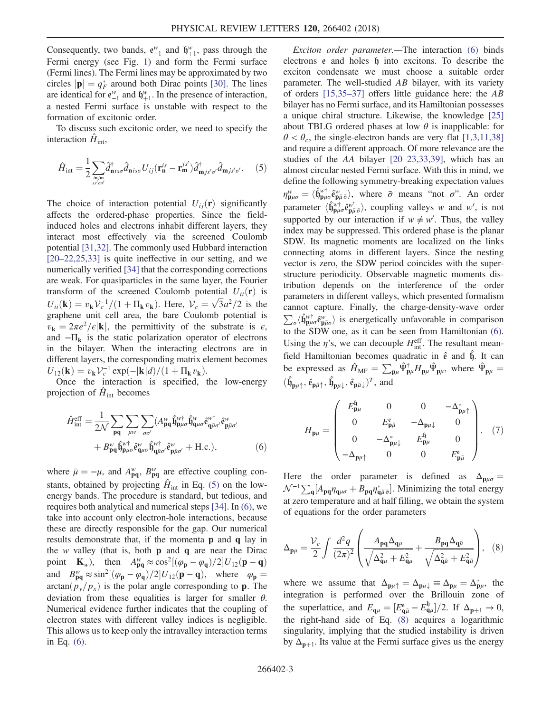Consequently, two bands,  $e_{-1}^{w}$  and  $\mathfrak{h}_{+1}^{w}$ , pass through the Fermi europe Fermi energy (see Fig. [1\)](#page-1-2) and form the Fermi surface (Fermi lines). The Fermi lines may be approximated by two circles  $|\mathbf{p}| = q_F^*$  around both Dirac points [\[30\]](#page-5-4). The lines<br>are identical for  $e^w$  and  $\mathbf{h}^w$ . In the presence of interaction are identical for  $e_{-1}^{w}$  and  $\mathfrak{h}_{+1}^{w}$ . In the presence of interaction, a nested Fermi surface is unstable with respect to the formation of excitonic order.

<span id="page-2-0"></span>To discuss such excitonic order, we need to specify the interaction  $H_{\text{int}}$ ,

$$
\hat{H}_{\text{int}} = \frac{1}{2} \sum_{\substack{n \text{min} \\ s s' \text{of}}} \hat{d}_{\text{n}}^{\dagger} \hat{d}_{\text{n}}^{\dagger} \hat{d}_{\text{n}}^{\dagger} \hat{d}_{\text{n}}^{\dagger} U_{ij} (\mathbf{r}_{\mathbf{n}}^{is} - \mathbf{r}_{\mathbf{m}}^{js'}) \hat{d}_{\text{m}}^{\dagger} \hat{d}_{\text{m}}^{\dagger} \hat{d}_{\text{m}}^{\dagger} \hat{d}_{\text{m}}^{\dagger}.
$$
 (5)

The choice of interaction potential  $U_{ii}(\mathbf{r})$  significantly affects the ordered-phase properties. Since the fieldinduced holes and electrons inhabit different layers, they interact most effectively via the screened Coulomb potential [\[31,32\]](#page-5-5). The commonly used Hubbard interaction [20–[22,25,33\]](#page-4-5) is quite ineffective in our setting, and we numerically verified [\[34\]](#page-5-6) that the corresponding corrections are weak. For quasiparticles in the same layer, the Fourier transform of the screened Coulomb potential  $U_{ii}(\mathbf{r})$  is  $U_{ii}(\mathbf{k}) = v_{\mathbf{k}}V_c^{-1}/(1 + \Pi_{\mathbf{k}}v_{\mathbf{k}})$ . Here,  $V_c = \sqrt{3}a^2/2$  is the praphene unit cell area, the bare Coulomb potential is graphene unit cell area, the bare Coulomb potential is  $v_{\bf k} = 2\pi e^2/\epsilon |{\bf k}|$ , the permittivity of the substrate is  $\epsilon$ , and  $-\Pi_k$  is the static polarization operator of electrons in the bilayer. When the interacting electrons are in different layers, the corresponding matrix element becomes  $U_{12}(\mathbf{k}) = v_{\mathbf{k}} V_c^{-1} \exp(-|\mathbf{k}|d)/(1+\Pi_{\mathbf{k}} v_{\mathbf{k}}).$ <br>Once the interaction is specified

<span id="page-2-1"></span>Once the interaction is specified, the low-energy projection of  $\hat{H}_{int}$  becomes

$$
\hat{H}^{\text{eff}}_{\text{int}} = \frac{1}{2\mathcal{N}} \sum_{\mathbf{p}\mathbf{q}} \sum_{\mu\nu} \sum_{\sigma\sigma'} (A^{\nu}_{\mathbf{p}\mathbf{q}} \hat{\mathbf{h}}^{\nu\dagger}_{\mathbf{p}\mu\sigma} \hat{\mathbf{h}}^{\nu}_{\mathbf{q}\mu\sigma} \hat{\mathbf{e}}^{\nu\dagger}_{\mathbf{q}\bar{\mu}\sigma'} \hat{\mathbf{e}}^{\nu}_{\mathbf{p}\bar{\mu}\sigma'} + B^{\nu}_{\mathbf{p}\mathbf{q}} \hat{\mathbf{h}}^{\nu\dagger}_{\mathbf{p}\mu\sigma} \hat{\mathbf{e}}^{\nu}_{\mathbf{q}\mu\sigma} \hat{\mathbf{h}}^{\nu\dagger}_{\mathbf{q}\bar{\mu}\sigma'} \hat{\mathbf{e}}^{\nu}_{\mathbf{p}\bar{\mu}\sigma'} + \text{H.c.},
$$
\n(6)

where  $\bar{\mu} = -\mu$ , and  $A_{pq}^w$ ,  $B_{pq}^w$  are effective coupling con-<br>atoms, obtained by registing  $\hat{U}$  in Eq. (5) on the law. stants, obtained by projecting  $\hat{H}_{int}$  in Eq. [\(5\)](#page-2-0) on the lowenergy bands. The procedure is standard, but tedious, and requires both analytical and numerical steps [\[34\]](#page-5-6). In [\(6\)](#page-2-1), we take into account only electron-hole interactions, because these are directly responsible for the gap. Our numerical results demonstrate that, if the momenta p and q lay in the w valley (that is, both  $\bf{p}$  and  $\bf{q}$  are near the Dirac point  $\mathbf{K}_w$ ), then  $A_{pq}^w \approx \cos^2[(\varphi_p - \varphi_q)/2]U_{12}(\mathbf{p} - \mathbf{q})$ and  $B_{pq}^w \approx \sin^2[(\varphi_p - \varphi_q)/2]U_{12}(\mathbf{p} - \mathbf{q})$ , where  $\varphi_p =$ <br>arctan(n /n) is the polar angle corresponding to **n** The  $arctan(p_v/p_x)$  is the polar angle corresponding to **p**. The deviation from these equalities is larger for smaller  $\theta$ . Numerical evidence further indicates that the coupling of electron states with different valley indices is negligible. This allows us to keep only the intravalley interaction terms in Eq. [\(6\).](#page-2-1)

Exciton order parameter.—The interaction [\(6\)](#page-2-1) binds electrons e and holes  $\mathfrak h$  into excitons. To describe the exciton condensate we must choose a suitable order parameter. The well-studied AB bilayer, with its variety of orders [\[15,35](#page-4-3)–37] offers little guidance here: the AB bilayer has no Fermi surface, and its Hamiltonian possesses a unique chiral structure. Likewise, the knowledge [\[25\]](#page-5-7) about TBLG ordered phases at low  $\theta$  is inapplicable: for  $\theta < \theta_c$ , the single-electron bands are very flat [\[1,3,11,38\]](#page-4-0) and require a different approach. Of more relevance are the studies of the AA bilayer [20–[23,33,39\],](#page-4-5) which has an almost circular nested Fermi surface. With this in mind, we define the following symmetry-breaking expectation values  $\eta_{\mathbf{p}\mu\sigma}^w = \langle \hat{\mathfrak{h}}_{\mathbf{p}\mu\sigma}^{w^{\dagger}} \hat{\mathfrak{e}}_{\mathbf{p}\bar{\mu}}^w \hat{\mathfrak{o}} \rangle$ , where  $\bar{\sigma}$  means "not  $\sigma$ ". An order parameter  $\langle \hat{\mathbf{h}}_{\mathbf{p}\mu\sigma}^{\psi^+} \hat{\mathbf{e}}_{\mathbf{p}\bar{\mu}\bar{\sigma}}^{\psi^{\prime}} \rangle$ , coupling valleys w and w', is not supported by our interaction if  $w \neq w'$ . Thus, the valley index may be suppressed. This ordered phase is the planar SDW. Its magnetic moments are localized on the links connecting atoms in different layers. Since the nesting vector is zero, the SDW period coincides with the superstructure periodicity. Observable magnetic moments distribution depends on the interference of the order parameters in different valleys, which presented formalism cannot capture. Finally, the charge-density-wave order  $\sum_{\sigma} \langle \hat{\mathbf{h}}_{\mathbf{p}\mu\sigma}^{\psi^{\dagger}} \hat{\mathbf{e}}_{\mathbf{p}\bar{\mu}\sigma}^{\psi} \rangle$  is energetically unfavorable in comparison<br>to the SDW one as it can be seen from Hamiltonian (6) to the SDW one, as it can be seen from Hamiltonian [\(6\)](#page-2-1). Using the  $\eta$ 's, we can decouple  $H_{\text{int}}^{\text{eff}}$ . The resultant meanfield Hamiltonian becomes quadratic in  $\hat{e}$  and  $\hat{h}$ . It can be expressed as  $\hat{H}_{\text{MF}} = \sum_{\mathbf{p}\mu} \hat{\Psi}_{\mathbf{p}\mu}^{\dagger} H_{\mathbf{p}\mu} \hat{\Psi}_{\mathbf{p}\mu}$ , where  $\hat{\Psi}_{\mathbf{p}\mu} =$  $(\hat{\mathfrak{h}}_{\mathbf{p}\mu\uparrow}, \hat{\mathfrak{e}}_{\mathbf{p}\bar{\mu}\downarrow}, \hat{\mathfrak{e}}_{\mathbf{p}\bar{\mu}\downarrow}, \hat{\epsilon}_{\mathbf{p}\bar{\mu}\downarrow})^T$ , and

$$
H_{\mathbf{p}\mu} = \begin{pmatrix} E_{\mathbf{p}\mu}^{\mathfrak{h}} & 0 & 0 & -\Delta_{\mathbf{p}\mu\uparrow}^{*} \\ 0 & E_{\mathbf{p}\bar{\mu}}^{*} & -\Delta_{\mathbf{p}\mu\downarrow} & 0 \\ 0 & -\Delta_{\mathbf{p}\mu\downarrow}^{*} & E_{\mathbf{p}\mu}^{\mathfrak{h}} & 0 \\ -\Delta_{\mathbf{p}\mu\uparrow} & 0 & 0 & E_{\mathbf{p}\bar{\mu}}^{*} \end{pmatrix} . \quad (7)
$$

<span id="page-2-2"></span>Here the order parameter is defined as  $\Delta_{\mathbf{p}\mu\sigma} =$  $\mathcal{N}^{-1} \sum_{\mathbf{q}} [A_{\mathbf{p}\mathbf{q}} \eta_{\mathbf{q}\mu\sigma} + B_{\mathbf{p}\mathbf{q}} \eta_{\mathbf{q}\bar{\mu}}^* \bar{\sigma}]$ . Minimizing the total energy at zero temperature and at half filling, we obtain the system of equations for the order parameters

$$
\Delta_{\mathbf{p}\mu} = \frac{\mathcal{V}_c}{2} \int \frac{d^2 q}{(2\pi)^2} \left( \frac{A_{\mathbf{p}\mathbf{q}} \Delta_{\mathbf{q}\mu}}{\sqrt{\Delta_{\mathbf{q}\mu}^2 + E_{\mathbf{q}\mu}^2}} + \frac{B_{\mathbf{p}\mathbf{q}} \Delta_{\mathbf{q}\bar{\mu}}}{\sqrt{\Delta_{\mathbf{q}\bar{\mu}}^2 + E_{\mathbf{q}\bar{\mu}}^2}} \right), \quad (8)
$$

where we assume that  $\Delta_{\mathbf{p}\mu\uparrow} = \Delta_{\mathbf{p}\mu\downarrow} \equiv \Delta_{\mathbf{p}\mu} = \Delta_{\mathbf{p}\mu}^*$ , the integration is performed over the Brillouin zone of integration is performed over the Brillouin zone of the superlattice, and  $E_{\mathbf{q}\mu} = [E_{\mathbf{q}\bar{\mu}}^{\text{e}} - E_{\mathbf{q}\mu}^{\text{h}}]/2$ . If  $\Delta_{\mathbf{p}+1} \to 0$ ,<br>the right hand side of Eq. (8) agguires a logarithmic the right-hand side of Eq.  $(8)$  acquires a logarithmic singularity, implying that the studied instability is driven by  $\Delta_{p+1}$ . Its value at the Fermi surface gives us the energy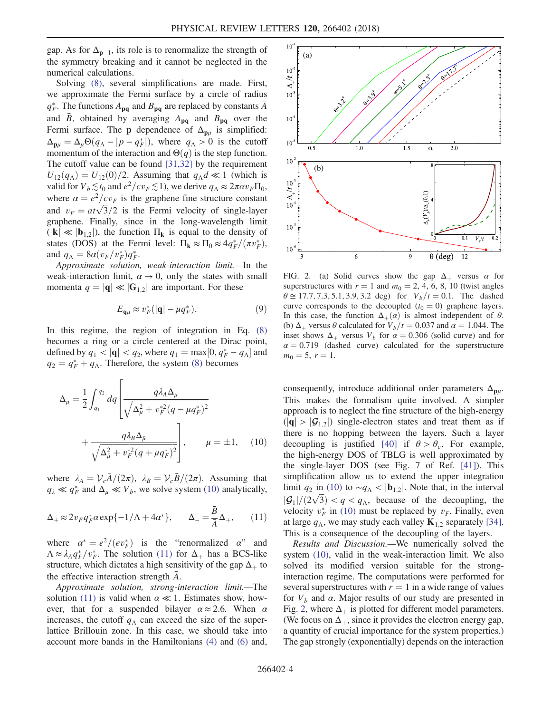gap. As for  $\Delta_{p-1}$ , its role is to renormalize the strength of the symmetry breaking and it cannot be neglected in the numerical calculations.

Solving [\(8\)](#page-2-2), several simplifications are made. First, we approximate the Fermi surface by a circle of radius  $q_F^*$ . The functions  $A_{pq}$  and  $B_{pq}$  are replaced by constants  $\bar{A}$ and  $\bar{B}$ , obtained by averaging  $A_{pq}$  and  $B_{pq}$  over the Fermi surface. The **p** dependence of  $\Delta_{\mathbf{p}\mu}$  is simplified:  $\Delta_{\mathbf{p}\mu} = \Delta_{\mu} \Theta(q_{\Lambda} - |p - q_F^*|)$ , where  $q_{\Lambda} > 0$  is the cutoff<br>momentum of the interaction and  $\Theta(q)$  is the step function momentum of the interaction and  $\Theta(q)$  is the step function. The cutoff value can be found [\[31,32\]](#page-5-5) by the requirement  $U_{12}(q_A) = U_{12}(0)/2$ . Assuming that  $q_A d \ll 1$  (which is valid for  $V_b \lesssim t_0$  and  $e^2/\epsilon v_F \lesssim 1$ ), we derive  $q_\Lambda \approx 2\pi \alpha v_F \Pi_0$ , where  $\alpha = e^2/\epsilon v_F$  is the graphene fine structure constant and  $v_F = a t \sqrt{3}/2$  is the Fermi velocity of single-layer<br>graphene. Finally, since in the long-wavelength limit graphene. Finally, since in the long-wavelength limit  $(|\mathbf{k}| \ll |\mathbf{b}_{1,2}|)$ , the function  $\Pi_{\mathbf{k}}$  is equal to the density of states (DOS) at the Fermi level:  $\Pi_{\mathbf{k}} \approx \Pi_0 \approx 4q_F^*/(\pi v_F^*),$ <br>and  $a_t = 8\alpha(v_F/v_F^*)\sigma_{\mathbf{k}}^*$ and  $q_{\Lambda} = 8a(v_F/v_F^*)q_F^*$ .<br>Approximate solution

Approximate solution, weak-interaction limit.—In the weak-interaction limit,  $\alpha \rightarrow 0$ , only the states with small momenta  $q = |\mathbf{q}| \ll |\mathbf{G}_{1,2}|$  are important. For these

$$
E_{\mathbf{q}\mu} \approx v_F^* (|\mathbf{q}| - \mu q_F^*).
$$
 (9)

<span id="page-3-0"></span>In this regime, the region of integration in Eq. [\(8\)](#page-2-2) becomes a ring or a circle centered at the Dirac point, defined by  $q_1 < |\mathbf{q}| < q_2$ , where  $q_1 = \max[0, q_F^* - q_\Lambda]$  and  $q_2 = q^* + q_\Lambda$ . Therefore, the system (8) becomes  $q_2 = q_F^* + q_\Lambda$ . Therefore, the system [\(8\)](#page-2-2) becomes

$$
\Delta_{\mu} = \frac{1}{2} \int_{q_1}^{q_2} dq \left[ \frac{q \lambda_A \Delta_{\mu}}{\sqrt{\Delta_{\mu}^2 + v_F^{*2} (q - \mu q_F^*)^2}} + \frac{q \lambda_B \Delta_{\mu}}{\sqrt{\Delta_{\mu}^2 + v_F^{*2} (q + \mu q_F^*)^2}} \right], \qquad \mu = \pm 1, \quad (10)
$$

<span id="page-3-1"></span>where  $\lambda_A = \mathcal{V}_c \bar{A}/(2\pi)$ ,  $\lambda_B = \mathcal{V}_c \bar{B}/(2\pi)$ . Assuming that  $q_{\lambda} \ll q_F^*$  and  $\Delta_{\mu} \ll V_b$ , we solve system [\(10\)](#page-3-0) analytically,

$$
\Delta_+ \approx 2v_F q_F^* \alpha \exp\{-1/\Lambda + 4\alpha^*\}, \qquad \Delta_- = \frac{\bar{B}}{\bar{A}} \Delta_+, \qquad (11)
$$

where  $\alpha^* = e^2/(ev_F^*)$  is the "renormalized  $\alpha$ " and  $\Delta \approx \lambda \alpha^* / v^*$ . The solution (11) for  $\Delta$ , has a BCS-like  $\Lambda \approx \lambda_A q_F^* / v_F^*$ . The solution [\(11\)](#page-3-1) for  $\Delta_+$  has a BCS-like structure, which dictates a high sensitivity of the gap  $\Delta_+$  to the effective interaction strength  $\overline{A}$ .

Approximate solution, strong-interaction limit.—The solution [\(11\)](#page-3-1) is valid when  $\alpha \ll 1$ . Estimates show, however, that for a suspended bilayer  $\alpha \approx 2.6$ . When  $\alpha$ increases, the cutoff  $q_\Lambda$  can exceed the size of the superlattice Brillouin zone. In this case, we should take into account more bands in the Hamiltonians [\(4\)](#page-1-3) and [\(6\)](#page-2-1) and,

<span id="page-3-2"></span>

FIG. 2. (a) Solid curves show the gap  $\Delta_+$  versus  $\alpha$  for superstructures with  $r = 1$  and  $m_0 = 2, 4, 6, 8, 10$  (twist angles  $\theta \approx 17.7, 7.3, 5.1, 3.9, 3.2$  deg) for  $V_b/t=0.1$ . The dashed curve corresponds to the decoupled  $(t_0 = 0)$  graphene layers. In this case, the function  $\Delta_+(\alpha)$  is almost independent of  $\theta$ . (b)  $\Delta_+$  versus  $\theta$  calculated for  $V_b/t=0.037$  and  $\alpha = 1.044$ . The inset shows  $\Delta_+$  versus  $V_b$  for  $\alpha = 0.306$  (solid curve) and for  $\alpha = 0.719$  (dashed curve) calculated for the superstructure  $m_0 = 5, r = 1.$ 

consequently, introduce additional order parameters  $\Delta_{\mathbf{p}\mu}$ . This makes the formalism quite involved. A simpler approach is to neglect the fine structure of the high-energy  $(|q| > |\mathcal{G}_{1,2}|)$  single-electron states and treat them as if there is no hopping between the layers. Such a layer decoupling is justified [\[40\]](#page-5-8) if  $\theta > \theta_c$ . For example, the high-energy DOS of TBLG is well approximated by the single-layer DOS (see Fig. 7 of Ref. [\[41\]](#page-5-9)). This simplification allow us to extend the upper integration limit  $q_2$  in [\(10\)](#page-3-0) to ~ $q_\Lambda$  < |b<sub>1,2</sub>|. Note that, in the interval  $|\mathcal{G}_1|/(2\sqrt{3}) < q < q_\Lambda$ , because of the decoupling, the velocity  $v^*$  in (10) must be replaced by  $v_{\rm E}$ . Finally even velocity  $v_F^*$  in [\(10\)](#page-3-0) must be replaced by  $v_F$ . Finally, even at large  $q_{\Lambda}$ , we may study each valley  $\mathbf{K}_{1,2}$  separately [\[34\]](#page-5-6). This is a consequence of the decoupling of the layers.

Results and Discussion.—We numerically solved the system [\(10\)](#page-3-0), valid in the weak-interaction limit. We also solved its modified version suitable for the stronginteraction regime. The computations were performed for several superstructures with  $r = 1$  in a wide range of values for  $V_b$  and  $\alpha$ . Major results of our study are presented in Fig. [2,](#page-3-2) where  $\Delta_+$  is plotted for different model parameters. (We focus on  $\Delta_{+}$ , since it provides the electron energy gap, a quantity of crucial importance for the system properties.) The gap strongly (exponentially) depends on the interaction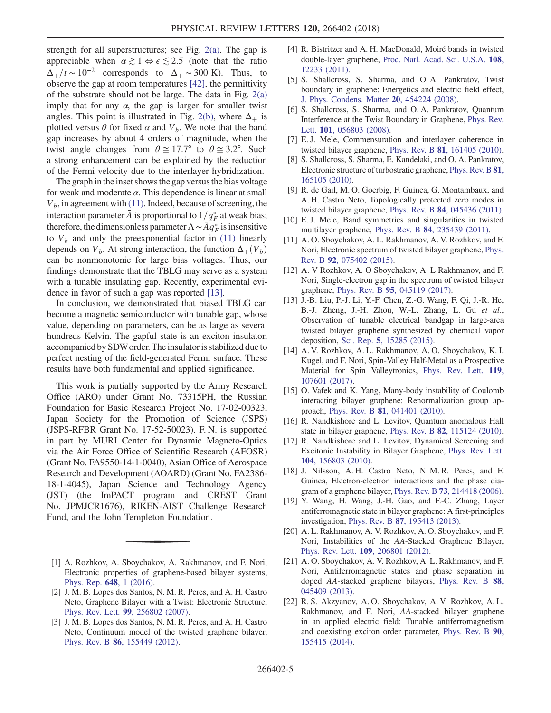strength for all superstructures; see Fig. [2\(a\)](#page-3-2). The gap is appreciable when  $\alpha \gtrsim 1 \Leftrightarrow \epsilon \lesssim 2.5$  (note that the ratio  $\Delta_{+}/t \sim 10^{-2}$  corresponds to  $\Delta_{+} \sim 300$  K). Thus, to observe the gap at room temperatures [\[42\],](#page-5-10) the permittivity of the substrate should not be large. The data in Fig. [2\(a\)](#page-3-2) imply that for any  $\alpha$ , the gap is larger for smaller twist angles. This point is illustrated in Fig. [2\(b\)](#page-3-2), where  $\Delta_+$  is plotted versus  $\theta$  for fixed  $\alpha$  and  $V_b$ . We note that the band gap increases by about 4 orders of magnitude, when the twist angle changes from  $\theta \approx 17.7^{\circ}$  to  $\theta \approx 3.2^{\circ}$ . Such a strong enhancement can be explained by the reduction of the Fermi velocity due to the interlayer hybridization.

The graph in the inset shows the gap versus the bias voltage for weak and moderate  $\alpha$ . This dependence is linear at small  $V<sub>b</sub>$ , in agreement with [\(11\).](#page-3-1) Indeed, because of screening, the interaction parameter  $\bar{A}$  is proportional to  $1/q_F^*$  at weak bias; therefore, the dimensionless parameter  $\Lambda \sim \bar{A} q_F^*$  is insensitive to  $V_b$  and only the preexponential factor in [\(11\)](#page-3-1) linearly depends on  $V_b$ . At strong interaction, the function  $\Delta_+(V_b)$ can be nonmonotonic for large bias voltages. Thus, our findings demonstrate that the TBLG may serve as a system with a tunable insulating gap. Recently, experimental evidence in favor of such a gap was reported [\[13\]](#page-4-1).

In conclusion, we demonstrated that biased TBLG can become a magnetic semiconductor with tunable gap, whose value, depending on parameters, can be as large as several hundreds Kelvin. The gapful state is an exciton insulator, accompanied by SDWorder. The insulator is stabilized due to perfect nesting of the field-generated Fermi surface. These results have both fundamental and applied significance.

This work is partially supported by the Army Research Office (ARO) under Grant No. 73315PH, the Russian Foundation for Basic Research Project No. 17-02-00323, Japan Society for the Promotion of Science (JSPS) (JSPS-RFBR Grant No. 17-52-50023). F. N. is supported in part by MURI Center for Dynamic Magneto-Optics via the Air Force Office of Scientific Research (AFOSR) (Grant No. FA9550-14-1-0040), Asian Office of Aerospace Research and Development (AOARD) (Grant No. FA2386- 18-1-4045), Japan Science and Technology Agency (JST) (the ImPACT program and CREST Grant No. JPMJCR1676), RIKEN-AIST Challenge Research Fund, and the John Templeton Foundation.

- <span id="page-4-7"></span><span id="page-4-0"></span>[1] A. Rozhkov, A. Sboychakov, A. Rakhmanov, and F. Nori, Electronic properties of graphene-based bilayer systems, [Phys. Rep.](https://doi.org/10.1016/j.physrep.2016.07.003) 648, 1 (2016).
- <span id="page-4-6"></span>[2] J. M. B. Lopes dos Santos, N. M. R. Peres, and A. H. Castro Neto, Graphene Bilayer with a Twist: Electronic Structure, Phys. Rev. Lett. 99[, 256802 \(2007\)](https://doi.org/10.1103/PhysRevLett.99.256802).
- [3] J. M. B. Lopes dos Santos, N. M. R. Peres, and A. H. Castro Neto, Continuum model of the twisted graphene bilayer, Phys. Rev. B 86[, 155449 \(2012\).](https://doi.org/10.1103/PhysRevB.86.155449)
- [4] R. Bistritzer and A. H. MacDonald, Moiré bands in twisted double-layer graphene, [Proc. Natl. Acad. Sci. U.S.A.](https://doi.org/10.1073/pnas.1108174108) 108, [12233 \(2011\).](https://doi.org/10.1073/pnas.1108174108)
- [5] S. Shallcross, S. Sharma, and O. A. Pankratov, Twist boundary in graphene: Energetics and electric field effect, [J. Phys. Condens. Matter](https://doi.org/10.1088/0953-8984/20/45/454224) 20, 454224 (2008).
- [6] S. Shallcross, S. Sharma, and O. A. Pankratov, Quantum Interference at the Twist Boundary in Graphene, [Phys. Rev.](https://doi.org/10.1103/PhysRevLett.101.056803) Lett. 101[, 056803 \(2008\)](https://doi.org/10.1103/PhysRevLett.101.056803).
- [7] E. J. Mele, Commensuration and interlayer coherence in twisted bilayer graphene, Phys. Rev. B 81[, 161405 \(2010\).](https://doi.org/10.1103/PhysRevB.81.161405)
- [8] S. Shallcross, S. Sharma, E. Kandelaki, and O. A. Pankratov, Electronic structure of turbostratic graphene, [Phys. Rev. B](https://doi.org/10.1103/PhysRevB.81.165105) 81, [165105 \(2010\).](https://doi.org/10.1103/PhysRevB.81.165105)
- [9] R. de Gail, M. O. Goerbig, F. Guinea, G. Montambaux, and A. H. Castro Neto, Topologically protected zero modes in twisted bilayer graphene, Phys. Rev. B 84[, 045436 \(2011\).](https://doi.org/10.1103/PhysRevB.84.045436)
- [10] E.J. Mele, Band symmetries and singularities in twisted multilayer graphene, Phys. Rev. B 84[, 235439 \(2011\)](https://doi.org/10.1103/PhysRevB.84.235439).
- <span id="page-4-4"></span>[11] A. O. Sboychakov, A. L. Rakhmanov, A. V. Rozhkov, and F. Nori, Electronic spectrum of twisted bilayer graphene, [Phys.](https://doi.org/10.1103/PhysRevB.92.075402) Rev. B 92[, 075402 \(2015\).](https://doi.org/10.1103/PhysRevB.92.075402)
- [12] A. V Rozhkov, A. O Sboychakov, A. L Rakhmanov, and F. Nori, Single-electron gap in the spectrum of twisted bilayer graphene, Phys. Rev. B 95[, 045119 \(2017\)](https://doi.org/10.1103/PhysRevB.95.045119).
- <span id="page-4-1"></span>[13] J.-B. Liu, P.-J. Li, Y.-F. Chen, Z.-G. Wang, F. Qi, J.-R. He, B.-J. Zheng, J.-H. Zhou, W.-L. Zhang, L. Gu et al., Observation of tunable electrical bandgap in large-area twisted bilayer graphene synthesized by chemical vapor deposition, Sci. Rep. 5[, 15285 \(2015\)](https://doi.org/10.1038/srep15285).
- <span id="page-4-2"></span>[14] A. V. Rozhkov, A. L. Rakhmanov, A. O. Sboychakov, K. I. Kugel, and F. Nori, Spin-Valley Half-Metal as a Prospective Material for Spin Valleytronics, [Phys. Rev. Lett.](https://doi.org/10.1103/PhysRevLett.119.107601) 119, [107601 \(2017\).](https://doi.org/10.1103/PhysRevLett.119.107601)
- <span id="page-4-3"></span>[15] O. Vafek and K. Yang, Many-body instability of Coulomb interacting bilayer graphene: Renormalization group approach, Phys. Rev. B 81[, 041401 \(2010\)](https://doi.org/10.1103/PhysRevB.81.041401).
- [16] R. Nandkishore and L. Levitov, Quantum anomalous Hall state in bilayer graphene, Phys. Rev. B 82[, 115124 \(2010\).](https://doi.org/10.1103/PhysRevB.82.115124)
- [17] R. Nandkishore and L. Levitov, Dynamical Screening and Excitonic Instability in Bilayer Graphene, [Phys. Rev. Lett.](https://doi.org/10.1103/PhysRevLett.104.156803) 104[, 156803 \(2010\).](https://doi.org/10.1103/PhysRevLett.104.156803)
- [18] J. Nilsson, A. H. Castro Neto, N. M. R. Peres, and F. Guinea, Electron-electron interactions and the phase diagram of a graphene bilayer, Phys. Rev. B 73[, 214418 \(2006\).](https://doi.org/10.1103/PhysRevB.73.214418)
- [19] Y. Wang, H. Wang, J.-H. Gao, and F.-C. Zhang, Layer antiferromagnetic state in bilayer graphene: A first-principles investigation, Phys. Rev. B 87[, 195413 \(2013\)](https://doi.org/10.1103/PhysRevB.87.195413).
- <span id="page-4-5"></span>[20] A. L. Rakhmanov, A. V. Rozhkov, A. O. Sboychakov, and F. Nori, Instabilities of the AA-Stacked Graphene Bilayer, Phys. Rev. Lett. 109[, 206801 \(2012\).](https://doi.org/10.1103/PhysRevLett.109.206801)
- <span id="page-4-8"></span>[21] A. O. Sboychakov, A. V. Rozhkov, A. L. Rakhmanov, and F. Nori, Antiferromagnetic states and phase separation in doped AA-stacked graphene bilayers, [Phys. Rev. B](https://doi.org/10.1103/PhysRevB.88.045409) 88, [045409 \(2013\).](https://doi.org/10.1103/PhysRevB.88.045409)
- [22] R. S. Akzyanov, A. O. Sboychakov, A. V. Rozhkov, A. L. Rakhmanov, and F. Nori, AA-stacked bilayer graphene in an applied electric field: Tunable antiferromagnetism and coexisting exciton order parameter, [Phys. Rev. B](https://doi.org/10.1103/PhysRevB.90.155415) 90, [155415 \(2014\).](https://doi.org/10.1103/PhysRevB.90.155415)